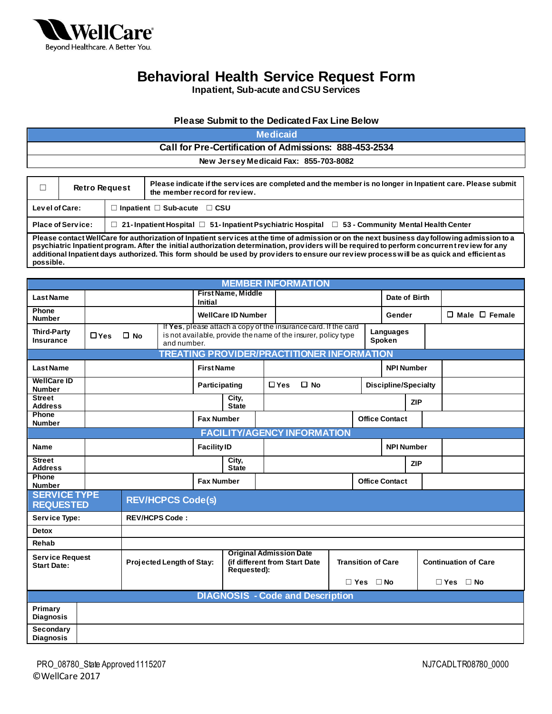

**Inpatient, Sub-acute and CSU Services**

#### **Please Submit to the Dedicated Fax Line Below**

#### **Medicaid Call for Pre-Certification of Admissions: 888-453-2534 New Jersey Medicaid Fax: 855-703-8082**

| Г              | <b>Retro Request</b>     | Please indicate if the services are completed and the member is no longer in Inpatient care. Please submit<br>the member record for review.                                                                                                                                                                                                                                                                                                  |
|----------------|--------------------------|----------------------------------------------------------------------------------------------------------------------------------------------------------------------------------------------------------------------------------------------------------------------------------------------------------------------------------------------------------------------------------------------------------------------------------------------|
| Level of Care: |                          | $\Box$ Inpatient $\Box$ Sub-acute $\Box$ CSU                                                                                                                                                                                                                                                                                                                                                                                                 |
|                | <b>Place of Service:</b> | □ 21-Inpatient Hospital □ 51-Inpatient Psychiatric Hospital □ 53 - Community Mental Health Center                                                                                                                                                                                                                                                                                                                                            |
| possible.      |                          | Please contact WellCare for authorization of Inpatient services at the time of admission or on the next business day following admission to a<br>psychiatric Inpatient program. After the initial authorization determination, providers will be required to perform concurrent review for any<br>additional Inpatient days authorized. This form should be used by providers to ensure our review process will be as quick and efficient as |

|                                              |            |                       |                           |                    | <b>MEMBER INFORMATION</b>                                                                                                         |            |              |                           |                       |                      |                             |  |
|----------------------------------------------|------------|-----------------------|---------------------------|--------------------|-----------------------------------------------------------------------------------------------------------------------------------|------------|--------------|---------------------------|-----------------------|----------------------|-----------------------------|--|
| <b>Last Name</b>                             |            |                       |                           | Initial            | <b>First Name, Middle</b>                                                                                                         |            |              |                           |                       | Date of Birth        |                             |  |
| Phone<br><b>Number</b>                       |            |                       |                           |                    | <b>WellCare ID Number</b>                                                                                                         |            |              |                           | Gender                |                      | $\Box$ Male $\Box$ Female   |  |
| <b>Third-Party</b><br><b>Insurance</b>       | $\Box$ Yes | $\square$ No          | and number.               |                    | If Yes, please attach a copy of the insurance card. If the card<br>is not available, provide the name of the insurer, policy type |            |              |                           | Languages<br>Spoken   |                      |                             |  |
|                                              |            |                       |                           |                    | <b>TREATING PROVIDER/PRACTITIONER INFORMATION</b>                                                                                 |            |              |                           |                       |                      |                             |  |
| <b>Last Name</b>                             |            |                       |                           | <b>First Name</b>  |                                                                                                                                   |            |              |                           |                       | <b>NPI Number</b>    |                             |  |
| <b>WellCare ID</b><br><b>Number</b>          |            |                       |                           | Participating      |                                                                                                                                   | $\Box$ Yes | $\square$ No |                           |                       | Discipline/Specialty |                             |  |
| <b>Street</b><br><b>Address</b>              |            |                       |                           |                    | City,<br><b>State</b>                                                                                                             |            |              |                           |                       | <b>ZIP</b>           |                             |  |
| Phone<br><b>Number</b>                       |            |                       |                           | <b>Fax Number</b>  |                                                                                                                                   |            |              |                           | <b>Office Contact</b> |                      |                             |  |
|                                              |            |                       |                           |                    | <b>FACILITY/AGENCY INFORMATION</b>                                                                                                |            |              |                           |                       |                      |                             |  |
| Name                                         |            |                       |                           | <b>Facility ID</b> |                                                                                                                                   |            |              |                           |                       | <b>NPI Number</b>    |                             |  |
| <b>Street</b><br><b>Address</b>              |            |                       |                           |                    | City,<br><b>State</b>                                                                                                             |            |              |                           |                       | <b>ZIP</b>           |                             |  |
| Phone<br><b>Number</b>                       |            |                       |                           | <b>Fax Number</b>  |                                                                                                                                   |            |              |                           | <b>Office Contact</b> |                      |                             |  |
| <b>SERVICE TYPE</b><br><b>REQUESTED</b>      |            |                       | <b>REV/HCPCS Code(s)</b>  |                    |                                                                                                                                   |            |              |                           |                       |                      |                             |  |
| Service Type:                                |            | <b>REV/HCPS Code:</b> |                           |                    |                                                                                                                                   |            |              |                           |                       |                      |                             |  |
| Detox                                        |            |                       |                           |                    |                                                                                                                                   |            |              |                           |                       |                      |                             |  |
| Rehab                                        |            |                       |                           |                    |                                                                                                                                   |            |              |                           |                       |                      |                             |  |
| <b>Service Request</b><br><b>Start Date:</b> |            |                       | Projected Length of Stay: |                    | <b>Original Admission Date</b><br>(if different from Start Date<br>Requested):                                                    |            |              | <b>Transition of Care</b> |                       |                      | <b>Continuation of Care</b> |  |
|                                              |            |                       |                           |                    |                                                                                                                                   |            |              | $\Box$ Yes $\Box$ No      |                       |                      | $\Box$ Yes $\Box$ No        |  |
|                                              |            |                       |                           |                    | <b>DIAGNOSIS - Code and Description</b>                                                                                           |            |              |                           |                       |                      |                             |  |
| Primary<br><b>Diagnosis</b>                  |            |                       |                           |                    |                                                                                                                                   |            |              |                           |                       |                      |                             |  |
| <b>Secondary</b><br><b>Diagnosis</b>         |            |                       |                           |                    |                                                                                                                                   |            |              |                           |                       |                      |                             |  |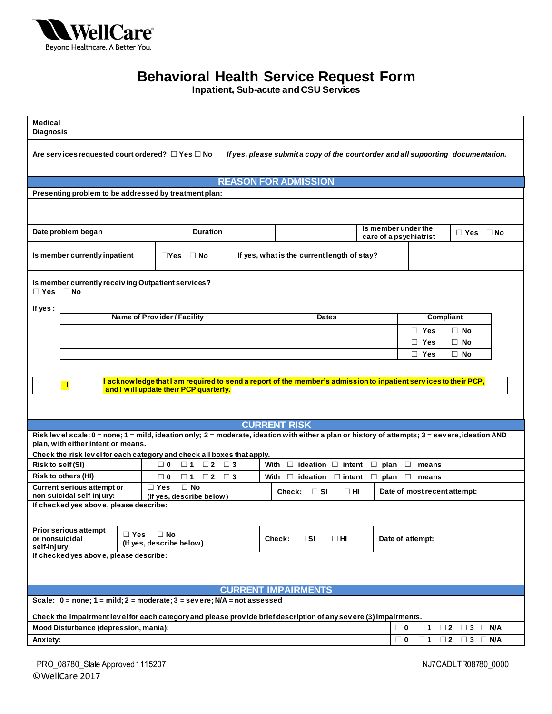

**Inpatient, Sub-acute and CSU Services**

| Medical<br><b>Diagnosis</b>                                                |               |                                                                                       |                                                                                                                                                                        |                                               |                              |                                    |  |
|----------------------------------------------------------------------------|---------------|---------------------------------------------------------------------------------------|------------------------------------------------------------------------------------------------------------------------------------------------------------------------|-----------------------------------------------|------------------------------|------------------------------------|--|
| Are services requested court ordered? $\Box$ Yes $\Box$ No                 |               |                                                                                       | If yes, please submit a copy of the court order and all supporting documentation.                                                                                      |                                               |                              |                                    |  |
|                                                                            |               |                                                                                       | <b>REASON FOR ADMISSION</b>                                                                                                                                            |                                               |                              |                                    |  |
| Presenting problem to be addressed by treatment plan:                      |               |                                                                                       |                                                                                                                                                                        |                                               |                              |                                    |  |
|                                                                            |               |                                                                                       |                                                                                                                                                                        |                                               |                              |                                    |  |
|                                                                            |               |                                                                                       |                                                                                                                                                                        |                                               |                              |                                    |  |
| Date problem began                                                         |               | <b>Duration</b>                                                                       |                                                                                                                                                                        | Is member under the<br>care of a psychiatrist |                              | $\Box$ Yes $\Box$ No               |  |
| Is member currently inpatient                                              |               | $\Box$ Yes $\Box$ No                                                                  | If yes, what is the current length of stay?                                                                                                                            |                                               |                              |                                    |  |
| Is member currently receiving Outpatient services?<br>$\Box$ Yes $\Box$ No |               |                                                                                       |                                                                                                                                                                        |                                               |                              |                                    |  |
| If yes:                                                                    |               | Name of Provider / Facility                                                           | <b>Dates</b>                                                                                                                                                           |                                               |                              | <b>Compliant</b>                   |  |
|                                                                            |               |                                                                                       |                                                                                                                                                                        |                                               | □ Yes                        | $\Box$ No                          |  |
|                                                                            |               |                                                                                       |                                                                                                                                                                        |                                               | □ Yes                        | $\Box$ No                          |  |
|                                                                            |               |                                                                                       |                                                                                                                                                                        |                                               | □ Yes                        | $\Box$ No                          |  |
| $\Box$                                                                     |               | and I will update their PCP quarterly.                                                | I acknow ledge that I am required to send a report of the member's admission to inpatient services to their PCP,                                                       |                                               |                              |                                    |  |
|                                                                            |               |                                                                                       | <b>CURRENT RISK</b><br>Risk level scale: 0 = none; 1 = mild, ideation only; 2 = moderate, ideation with either a plan or history of attempts; 3 = severe, ideation AND |                                               |                              |                                    |  |
| plan, with either intent or means.                                         |               |                                                                                       |                                                                                                                                                                        |                                               |                              |                                    |  |
|                                                                            |               | Check the risk level for each category and check all boxes that apply.                |                                                                                                                                                                        |                                               |                              |                                    |  |
| Risk to self (SI)                                                          |               | $\Box$ 0<br>$\square$ 1<br>$\Box$ 2 $\Box$ 3                                          | $\Box$<br>With<br>ideation $\Box$ intent                                                                                                                               | □<br>plan                                     | □<br>means                   |                                    |  |
| <b>Risk to others (HI)</b><br><b>Current serious attempt or</b>            |               | $\Box$ 2 $\Box$ 3<br>$\Box$ 0<br>$\square$ 1<br>$\Box$ Yes<br>$\Box$ No               | With<br>$\Box$ ideation $\Box$ intent                                                                                                                                  | $\Box$ plan                                   | $\Box$<br>means              |                                    |  |
| non-suicidal self-injury:                                                  |               | (If yes, describe below)                                                              | Check: $\Box$ SI<br>$\Box$ HI                                                                                                                                          |                                               | Date of most recent attempt: |                                    |  |
| If checked yes above, please describe:                                     |               |                                                                                       |                                                                                                                                                                        |                                               |                              |                                    |  |
| <b>Prior serious attempt</b><br>or nonsuicidal<br>self-injury:             | $\square$ Yes | $\Box$ No<br>(If yes, describe below)                                                 | Check: $\Box$ SI<br>$\square$ HI                                                                                                                                       |                                               | Date of attempt:             |                                    |  |
| If checked yes above, please describe:                                     |               |                                                                                       |                                                                                                                                                                        |                                               |                              |                                    |  |
|                                                                            |               |                                                                                       | <b>CURRENT IMPAIRMENTS</b>                                                                                                                                             |                                               |                              |                                    |  |
|                                                                            |               | Scale: $0 = none$ ; $1 = mild$ ; $2 = moderate$ ; $3 = severe$ ; $N/A = not assessed$ |                                                                                                                                                                        |                                               |                              |                                    |  |
|                                                                            |               |                                                                                       | Check the impairment level for each category and please provide brief description of any severe (3) impairments.                                                       |                                               |                              |                                    |  |
| Mood Disturbance (depression, mania):                                      |               |                                                                                       |                                                                                                                                                                        |                                               | $\square$ 1<br>$\Box$ 0      | $\Box$ 3 $\Box$ N/A<br>$\square$ 2 |  |
| Anxiety:                                                                   |               |                                                                                       |                                                                                                                                                                        |                                               | $\Box$ 0<br>$\square$ 1      | $\Box$ 3 $\Box$ N/A<br>$\Box$ 2    |  |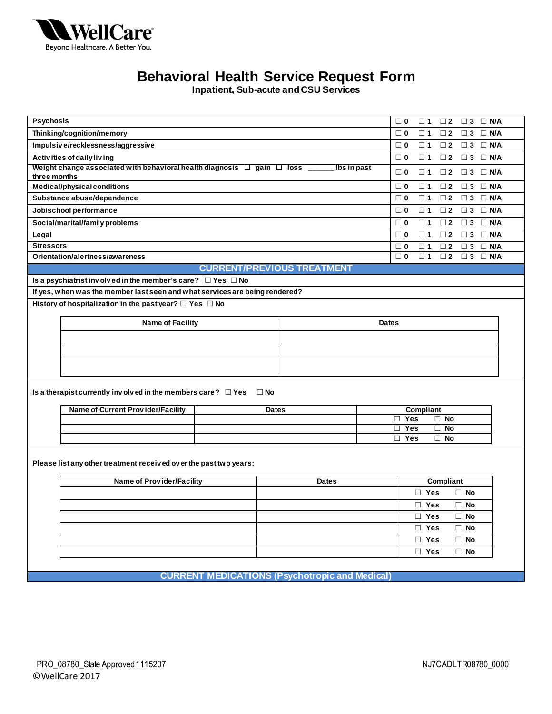

**Inpatient, Sub-acute and CSU Services**

| Psychosis                                                                                         |                                   | $\Box$ 0<br>$\square$ 1<br>$\square$ 2<br>$\Box$ 3 $\Box$ N/A             |
|---------------------------------------------------------------------------------------------------|-----------------------------------|---------------------------------------------------------------------------|
| Thinking/cognition/memory                                                                         |                                   | $\square$ 1<br>$\Box$ 3<br>$\Box$ N/A<br>$\square$ 0<br>$\square$ 2       |
| Impulsive/recklessness/aggressive                                                                 |                                   | $\Box$ 3<br>$\Box$ N/A<br>$\square$ 0<br>$\square$ 1<br>$\square$ 2       |
| Activities of daily living                                                                        |                                   | $\Box$ 3 $\Box$ N/A<br>$\Box$ 0<br>$\square$ 1<br>$\square$ 2             |
| Weight change associated with behavioral health diagnosis $\Box$ gain $\Box$ loss<br>three months |                                   | Ibs in past<br>$\Box$ 0<br>$\square$ 1<br>$\Box$ 2<br>$\Box$ 3 $\Box$ N/A |
| Medical/physical conditions                                                                       |                                   | $\square$ 3<br>$\square$ 0<br>$\square$ 1<br>$\square$ 2<br>$\Box$ N/A    |
| Substance abuse/dependence                                                                        |                                   | $\Box$ 0<br>$\square$ 1<br>$\square$ 2<br>$\Box$ 3<br>$\Box$ N/A          |
| Job/school performance                                                                            |                                   | $\square$ 1<br>$\square$ 2<br>$\Box$ 3<br>$\Box$ N/A<br>$\Box$ 0          |
| Social/marital/family problems                                                                    |                                   | $\Box$ N/A<br>$\square$ 0<br>$\square$ 1<br>$\square$ 2<br>$\Box$ 3       |
| Legal                                                                                             |                                   | $\Box$ 0<br>$\square$ 1<br>$\square$ 2<br>$\Box$ 3<br>$\Box$ N/A          |
| <b>Stressors</b>                                                                                  |                                   | $\square$ 0<br>$\square$ 2<br>$\square$ 3<br>$\Box$ N/A<br>$\square$ 1    |
| Orientation/alertness/awareness                                                                   |                                   | $\Box$ 3 $\Box$ N/A<br>$\square$ 0<br>$\square$ 1<br>$\Box$ 2             |
|                                                                                                   | <b>CURRENT/PREVIOUS TREATMENT</b> |                                                                           |
| Is a psychiatrist involved in the member's care? $\Box$ Yes $\Box$ No                             |                                   |                                                                           |
| If yes, when was the member last seen and what services are being rendered?                       |                                   |                                                                           |
| History of hospitalization in the past year? $\Box$ Yes $\Box$ No                                 |                                   |                                                                           |
| <b>Name of Facility</b>                                                                           |                                   | <b>Dates</b>                                                              |
|                                                                                                   |                                   |                                                                           |
|                                                                                                   |                                   |                                                                           |
|                                                                                                   |                                   |                                                                           |
|                                                                                                   |                                   |                                                                           |
| Is a therapist currently involved in the members care? $\Box$ Yes                                 | $\square$ No                      |                                                                           |
|                                                                                                   |                                   |                                                                           |
| <b>Name of Current Provider/Facility</b>                                                          | <b>Dates</b>                      | Compliant                                                                 |
|                                                                                                   |                                   | $\Box$ Yes<br>$\Box$ No<br>П<br><b>Yes</b><br><b>No</b><br>П              |
|                                                                                                   |                                   | $\Box$ Yes<br>$\Box$ No                                                   |
|                                                                                                   |                                   |                                                                           |
| Please list any other treatment received over the past two years:                                 |                                   |                                                                           |
| <b>Name of Provider/Facility</b>                                                                  | <b>Dates</b>                      | Compliant                                                                 |
|                                                                                                   |                                   | $\Box$ Yes<br>$\Box$ No                                                   |
|                                                                                                   |                                   | $\Box$ Yes<br>$\Box$ No                                                   |
|                                                                                                   |                                   | $\Box$ Yes<br>$\Box$ No                                                   |
|                                                                                                   |                                   | $\Box$ Yes<br>$\Box$ No                                                   |
|                                                                                                   |                                   | $\Box$ Yes<br>$\Box$ No                                                   |
|                                                                                                   |                                   | $\Box$ Yes<br>$\Box$ No                                                   |
|                                                                                                   |                                   |                                                                           |
| <b>CURRENT MEDICATIONS (Psychotropic and Medical)</b>                                             |                                   |                                                                           |